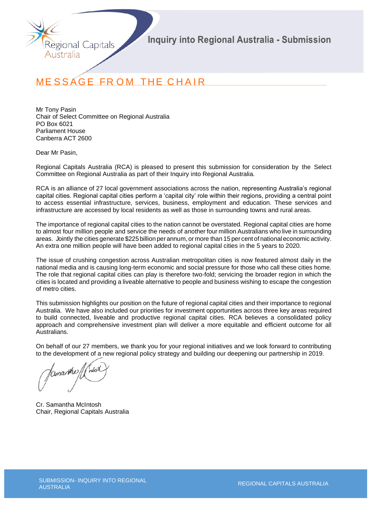

# **MESSAGE FROM THE CHAIR**

Mr Tony Pasin Chair of Select Committee on Regional Australia PO Box 6021 Parliament House Canberra ACT 2600

Dear Mr Pasin,

Regional Capitals Australia (RCA) is pleased to present this submission for consideration by the Select Committee on Regional Australia as part of their Inquiry into Regional Australia.

RCA is an alliance of 27 local government associations across the nation, representing Australia's regional capital cities. Regional capital cities perform a 'capital city' role within their regions, providing a central point to access essential infrastructure, services, business, employment and education. These services and infrastructure are accessed by local residents as well as those in surrounding towns and rural areas.

The importance of regional capital cities to the nation cannot be overstated. Regional capital cities are home to almost four million people and service the needs of another four million Australians who live in surrounding areas. Jointly the cities generate \$225 billion per annum, or more than 15 per cent of national economic activity. An extra one million people will have been added to regional capital cities in the 5 years to 2020.

The issue of crushing congestion across Australian metropolitan cities is now featured almost daily in the national media and is causing long-term economic and social pressure for those who call these cities home. The role that regional capital cities can play is therefore two-fold; servicing the broader region in which the cities is located and providing a liveable alternative to people and business wishing to escape the congestion of metro cities.

This submission highlights our position on the future of regional capital cities and their importance to regional Australia. We have also included our priorities for investment opportunities across three key areas required to build connected, liveable and productive regional capital cities. RCA believes a consolidated policy approach and comprehensive investment plan will deliver a more equitable and efficient outcome for all Australians.

On behalf of our 27 members, we thank you for your regional initiatives and we look forward to contributing to the development of a new regional policy strategy and building our deepening our partnership in 2019.

Cr. Samantha McIntosh Chair, Regional Capitals Australia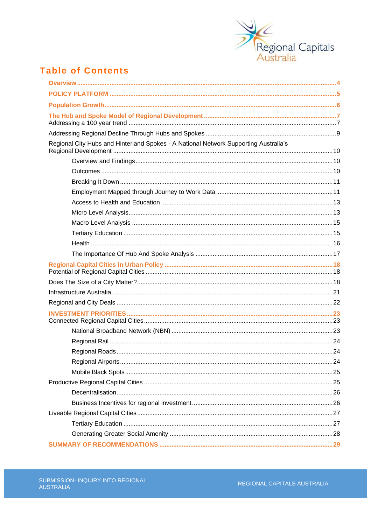

# **Table of Contents**

| Regional City Hubs and Hinterland Spokes - A National Network Supporting Australia's |  |
|--------------------------------------------------------------------------------------|--|
|                                                                                      |  |
|                                                                                      |  |
|                                                                                      |  |
|                                                                                      |  |
|                                                                                      |  |
|                                                                                      |  |
|                                                                                      |  |
|                                                                                      |  |
|                                                                                      |  |
|                                                                                      |  |
|                                                                                      |  |
|                                                                                      |  |
|                                                                                      |  |
|                                                                                      |  |
|                                                                                      |  |
|                                                                                      |  |
|                                                                                      |  |
|                                                                                      |  |
|                                                                                      |  |
|                                                                                      |  |
|                                                                                      |  |
|                                                                                      |  |
|                                                                                      |  |
|                                                                                      |  |
|                                                                                      |  |
|                                                                                      |  |
|                                                                                      |  |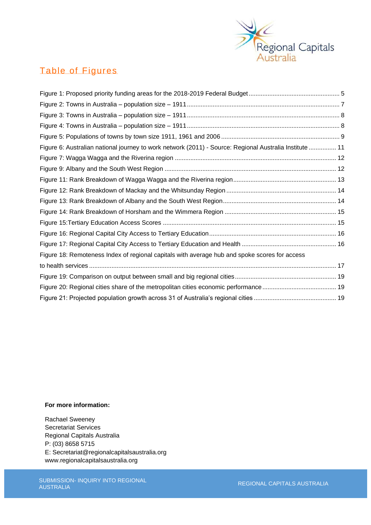

# Table of Figures

| Figure 6: Australian national journey to work network (2011) - Source: Regional Australia Institute  11 |  |
|---------------------------------------------------------------------------------------------------------|--|
|                                                                                                         |  |
|                                                                                                         |  |
|                                                                                                         |  |
|                                                                                                         |  |
|                                                                                                         |  |
|                                                                                                         |  |
|                                                                                                         |  |
|                                                                                                         |  |
|                                                                                                         |  |
| Figure 18: Remoteness Index of regional capitals with average hub and spoke scores for access           |  |
|                                                                                                         |  |
|                                                                                                         |  |
|                                                                                                         |  |
|                                                                                                         |  |

# **For more information:**

Rachael Sweeney Secretariat Services Regional Capitals Australia P: (03) 8658 5715 E: [Secretariat@regionalcapitalsaustralia.org](mailto:Secretariat@regionalcapitalsaustralia.org) [www.regionalcapitalsaustralia.org](http://www.regionalcapitalsaustralia.org/)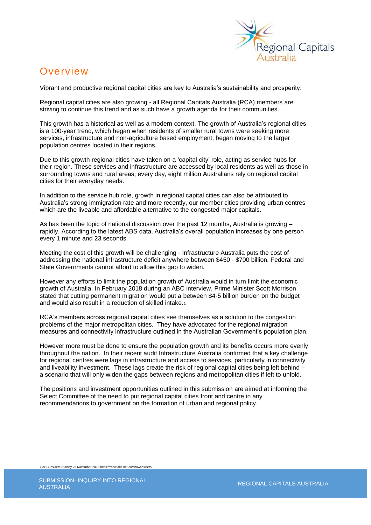

# **Overview**

Vibrant and productive regional capital cities are key to Australia's sustainability and prosperity.

Regional capital cities are also growing - all Regional Capitals Australia (RCA) members are striving to continue this trend and as such have a growth agenda for their communities.

This growth has a historical as well as a modern context. The growth of Australia's regional cities is a 100-year trend, which began when residents of smaller rural towns were seeking more services, infrastructure and non-agriculture based employment, began moving to the larger population centres located in their regions.

Due to this growth regional cities have taken on a 'capital city' role, acting as service hubs for their region. These services and infrastructure are accessed by local residents as well as those in surrounding towns and rural areas; every day, eight million Australians rely on regional capital cities for their everyday needs.

In addition to the service hub role, growth in regional capital cities can also be attributed to Australia's strong immigration rate and more recently, our member cities providing urban centres which are the liveable and affordable alternative to the congested major capitals.

As has been the topic of national discussion over the past 12 months, Australia is growing – rapidly. According to the latest ABS data, Australia's overall population increases by one person every 1 minute and 23 seconds.

Meeting the cost of this growth will be challenging - Infrastructure Australia puts the cost of addressing the national infrastructure deficit anywhere between \$450 - \$700 billion. Federal and State Governments cannot afford to allow this gap to widen.

However any efforts to limit the population growth of Australia would in turn limit the economic growth of Australia. In February 2018 during an ABC interview, Prime Minister Scott Morrison stated that cutting permanent migration would put a between \$4-5 billion burden on the budget and would also result in a reduction of skilled intake.<sup>1</sup>

RCA's members across regional capital cities see themselves as a solution to the congestion problems of the major metropolitan cities. They have advocated for the regional migration measures and connectivity infrastructure outlined in the Australian Government's population plan.

However more must be done to ensure the population growth and its benefits occurs more evenly throughout the nation. In their recent audit Infrastructure Australia confirmed that a key challenge for regional centres were lags in infrastructure and access to services, particularly in connectivity and liveability investment. These lags create the risk of regional capital cities being left behind – a scenario that will only widen the gaps between regions and metropolitan cities if left to unfold.

The positions and investment opportunities outlined in this submission are aimed at informing the Select Committee of the need to put regional capital cities front and centre in any recommendations to government on the formation of urban and regional policy.

1 ABC Insiders Sunday 25 November 2018 https://iview.abc.net.au/show/insiders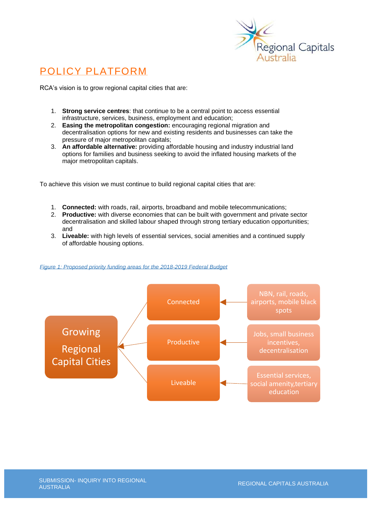

# POLICY PLATFORM

RCA's vision is to grow regional capital cities that are:

- 1. **Strong service centres**: that continue to be a central point to access essential infrastructure, services, business, employment and education;
- 2. **Easing the metropolitan congestion:** encouraging regional migration and decentralisation options for new and existing residents and businesses can take the pressure of major metropolitan capitals;
- 3. **An affordable alternative:** providing affordable housing and industry industrial land options for families and business seeking to avoid the inflated housing markets of the major metropolitan capitals.

To achieve this vision we must continue to build regional capital cities that are:

- 1. **Connected:** with roads, rail, airports, broadband and mobile telecommunications;
- 2. **Productive:** with diverse economies that can be built with government and private sector decentralisation and skilled labour shaped through strong tertiary education opportunities; and
- 3. **Liveable:** with high levels of essential services, social amenities and a continued supply of affordable housing options.

<span id="page-4-0"></span>

## *Figure 1: Proposed priority funding areas for the 2018-2019 Federal Budget*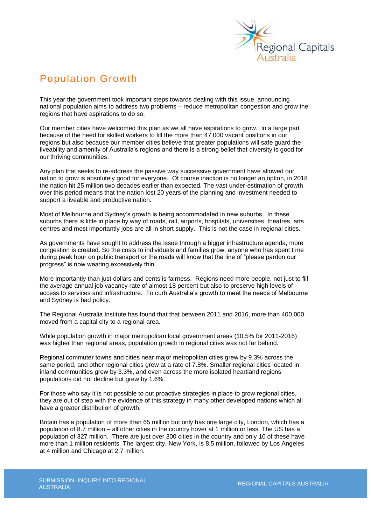

# Population Growth

This year the government took important steps towards dealing with this issue, announcing national population aims to address two problems – reduce metropolitan congestion and grow the regions that have aspirations to do so.

Our member cities have welcomed this plan as we all have aspirations to grow. In a large part because of the need for skilled workers to fill the more than 47,000 vacant positions in our regions but also because our member cities believe that greater populations will safe guard the liveability and amenity of Australia's regions and there is a strong belief that diversity is good for our thriving communities.

Any plan that seeks to re-address the passive way successive government have allowed our nation to grow is absolutely good for everyone. Of course inaction is no longer an option, in 2018 the nation hit 25 million two decades earlier than expected. The vast under-estimation of growth over this period means that the nation lost 20 years of the planning and investment needed to support a liveable and productive nation.

Most of Melbourne and Sydney's growth is being accommodated in new suburbs. In these suburbs there is little in place by way of roads, rail, airports, hospitals, universities, theatres, arts centres and most importantly jobs are all in short supply. This is not the case in regional cities.

As governments have sought to address the issue through a bigger infrastructure agenda, more congestion is created. So the costs to individuals and families grow, anyone who has spent time during peak hour on public transport or the roads will know that the line of "please pardon our progress" is now wearing excessively thin.

More importantly than just dollars and cents is fairness. Regions need more people, not just to fill the average annual job vacancy rate of almost 18 percent but also to preserve high levels of access to services and infrastructure. To curb Australia's growth to meet the needs of Melbourne and Sydney is bad policy.

The Regional Australia Institute has found that that between 2011 and 2016, more than 400,000 moved from a capital city to a regional area.

While population growth in major metropolitan local government areas (10.5% for 2011-2016) was higher than regional areas, population growth in regional cities was not far behind.

Regional commuter towns and cities near major metropolitan cities grew by 9.3% across the same period, and other regional cities grew at a rate of 7.8%. Smaller regional cities located in inland communities grew by 3.3%, and even across the more isolated heartland regions populations did not decline but grew by 1.6%.

For those who say it is not possible to put proactive strategies in place to grow regional cities, they are out of step with the evidence of this strategy in many other developed nations which all have a greater distribution of growth.

Britain has a population of more than 65 million but only has one large city, London, which has a population of 8.7 million – all other cities in the country hover at 1 million or less. The US has a population of 327 million. There are just over 300 cities in the country and only 10 of these have more than 1 million residents. The largest city, New York, is 8.5 million, followed by Los Angeles at 4 million and Chicago at 2.7 million.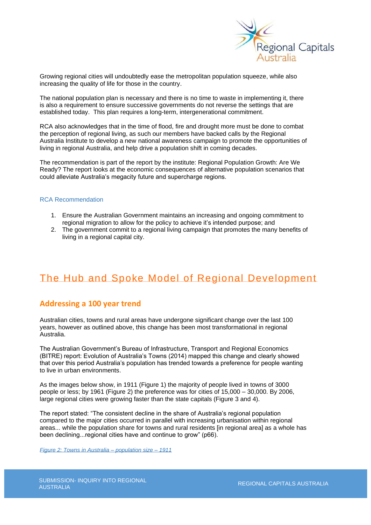

Growing regional cities will undoubtedly ease the metropolitan population squeeze, while also increasing the quality of life for those in the country.

The national population plan is necessary and there is no time to waste in implementing it, there is also a requirement to ensure successive governments do not reverse the settings that are established today. This plan requires a long-term, intergenerational commitment.

RCA also acknowledges that in the time of flood, fire and drought more must be done to combat the perception of regional living, as such our members have backed calls by the Regional Australia Institute to develop a new national awareness campaign to promote the opportunities of living in regional Australia, and help drive a population shift in coming decades.

The recommendation is part of the report by the institute: Regional Population Growth: Are We Ready? The report looks at the economic consequences of alternative population scenarios that could alleviate Australia's megacity future and supercharge regions.

#### RCA Recommendation

- 1. Ensure the Australian Government maintains an increasing and ongoing commitment to regional migration to allow for the policy to achieve it's intended purpose; and
- 2. The government commit to a regional living campaign that promotes the many benefits of living in a regional capital city.

# The Hub and Spoke Model of Regional Development

# **Addressing a 100 year trend**

Australian cities, towns and rural areas have undergone significant change over the last 100 years, however as outlined above, this change has been most transformational in regional Australia.

The Australian Government's Bureau of Infrastructure, Transport and Regional Economics (BITRE) report: Evolution of Australia's Towns (2014) mapped this change and clearly showed that over this period Australia's population has trended towards a preference for people wanting to live in urban environments.

As the images below show, in 1911 (Figure 1) the majority of people lived in towns of 3000 people or less; by 1961 (Figure 2) the preference was for cities of 15,000 – 30,000. By 2006, large regional cities were growing faster than the state capitals (Figure 3 and 4).

The report stated: "The consistent decline in the share of Australia's regional population compared to the major cities occurred in parallel with increasing urbanisation within regional areas... while the population share for towns and rural residents [in regional area] as a whole has been declining...regional cities have and continue to grow" (p66).

<span id="page-6-0"></span>*Figure 2: Towns in Australia – population size – 1911*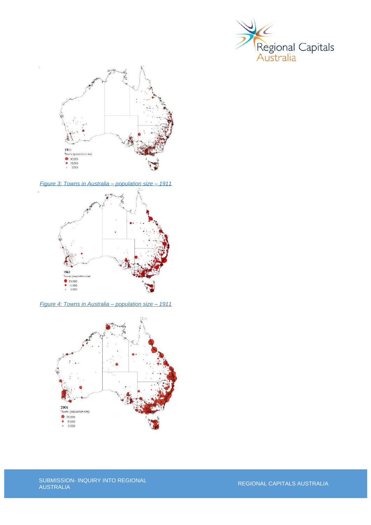



<span id="page-7-0"></span>*Figure 3: Towns in Australia – population size – 1911*



<span id="page-7-1"></span>*Figure 4: Towns in Australia – population size – 1911*

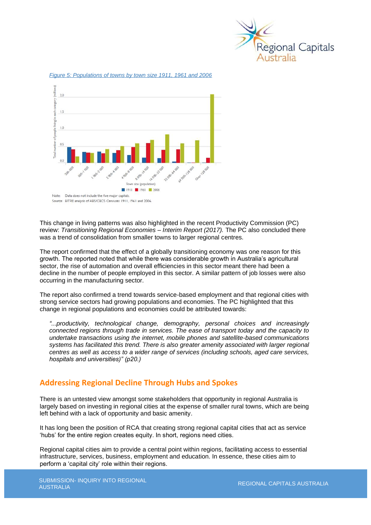

 $30$ ach catego  $15$  $1.0$ of per 0.5 - 128 PD 32 govern vn size (population) 1911 3 1961 3 2006 Note: Data does not include the five major capitals Source: BITRE analysis of ABS/CBCS Censuses 1911, 1961 and 2006.

<span id="page-8-0"></span>*Figure 5: Populations of towns by town size 1911, 1961 and 2006*

This change in living patterns was also highlighted in the recent Productivity Commission (PC) review: *Transitioning Regional Economies – Interim Report (2017).* The PC also concluded there was a trend of consolidation from smaller towns to larger regional centres.

The report confirmed that the effect of a globally transitioning economy was one reason for this growth. The reported noted that while there was considerable growth in Australia's agricultural sector, the rise of automation and overall efficiencies in this sector meant there had been a decline in the number of people employed in this sector. A similar pattern of job losses were also occurring in the manufacturing sector.

The report also confirmed a trend towards service-based employment and that regional cities with strong service sectors had growing populations and economies. The PC highlighted that this change in regional populations and economies could be attributed towards:

*"...productivity, technological change, demography, personal choices and increasingly connected regions through trade in services. The ease of transport today and the capacity to undertake transactions using the internet, mobile phones and satellite-based communications systems has facilitated this trend. There is also greater amenity associated with larger regional centres as well as access to a wider range of services (including schools, aged care services, hospitals and universities)" (p20.)*

# **Addressing Regional Decline Through Hubs and Spokes**

There is an untested view amongst some stakeholders that opportunity in regional Australia is largely based on investing in regional cities at the expense of smaller rural towns, which are being left behind with a lack of opportunity and basic amenity.

It has long been the position of RCA that creating strong regional capital cities that act as service 'hubs' for the entire region creates equity. In short, regions need cities.

Regional capital cities aim to provide a central point within regions, facilitating access to essential infrastructure, services, business, employment and education. In essence, these cities aim to perform a 'capital city' role within their regions.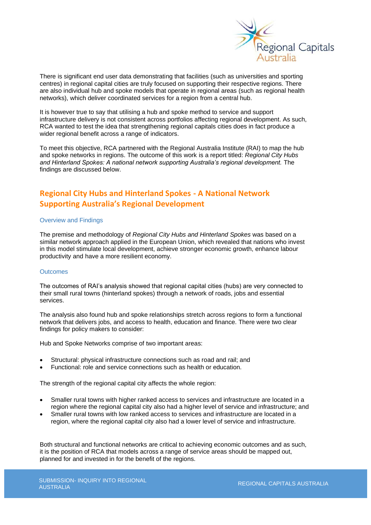

There is significant end user data demonstrating that facilities (such as universities and sporting centres) in regional capital cities are truly focused on supporting their respective regions. There are also individual hub and spoke models that operate in regional areas (such as regional health networks), which deliver coordinated services for a region from a central hub.

It is however true to say that utilising a hub and spoke method to service and support infrastructure delivery is not consistent across portfolios affecting regional development. As such, RCA wanted to test the idea that strengthening regional capitals cities does in fact produce a wider regional benefit across a range of indicators.

To meet this objective, RCA partnered with the Regional Australia Institute (RAI) to map the hub and spoke networks in regions. The outcome of this work is a report titled: *Regional City Hubs*  and Hinterland Spokes: A national network supporting Australia's regional development. The findings are discussed below.

# **Regional City Hubs and Hinterland Spokes - A National Network Supporting Australia's Regional Development**

## Overview and Findings

The premise and methodology of *Regional City Hubs and Hinterland Spokes* was based on a similar network approach applied in the European Union, which revealed that nations who invest in this model stimulate local development, achieve stronger economic growth, enhance labour productivity and have a more resilient economy.

#### **Outcomes**

The outcomes of RAI's analysis showed that regional capital cities (hubs) are very connected to their small rural towns (hinterland spokes) through a network of roads, jobs and essential services.

The analysis also found hub and spoke relationships stretch across regions to form a functional network that delivers jobs, and access to health, education and finance. There were two clear findings for policy makers to consider:

Hub and Spoke Networks comprise of two important areas:

- Structural: physical infrastructure connections such as road and rail; and
- Functional: role and service connections such as health or education.

The strength of the regional capital city affects the whole region:

- Smaller rural towns with higher ranked access to services and infrastructure are located in a region where the regional capital city also had a higher level of service and infrastructure; and
- Smaller rural towns with low ranked access to services and infrastructure are located in a region, where the regional capital city also had a lower level of service and infrastructure.

Both structural and functional networks are critical to achieving economic outcomes and as such, it is the position of RCA that models across a range of service areas should be mapped out, planned for and invested in for the benefit of the regions.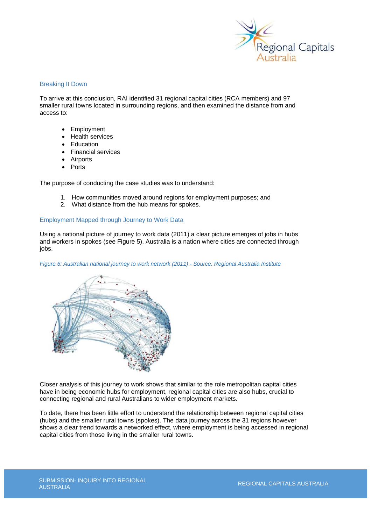

## Breaking It Down

To arrive at this conclusion, RAI identified 31 regional capital cities (RCA members) and 97 smaller rural towns located in surrounding regions, and then examined the distance from and access to:

- **Employment**
- Health services
- **Education**
- Financial services
- **Airports**
- Ports

The purpose of conducting the case studies was to understand:

- 1. How communities moved around regions for employment purposes; and
- 2. What distance from the hub means for spokes.

# Employment Mapped through Journey to Work Data

Using a national picture of journey to work data (2011) a clear picture emerges of jobs in hubs and workers in spokes (see Figure 5). Australia is a nation where cities are connected through jobs.

<span id="page-10-0"></span>*Figure 6: Australian national journey to work network (2011) - Source: Regional Australia Institute*



Closer analysis of this journey to work shows that similar to the role metropolitan capital cities have in being economic hubs for employment, regional capital cities are also hubs, crucial to connecting regional and rural Australians to wider employment markets.

To date, there has been little effort to understand the relationship between regional capital cities (hubs) and the smaller rural towns (spokes). The data journey across the 31 regions however shows a clear trend towards a networked effect, where employment is being accessed in regional capital cities from those living in the smaller rural towns.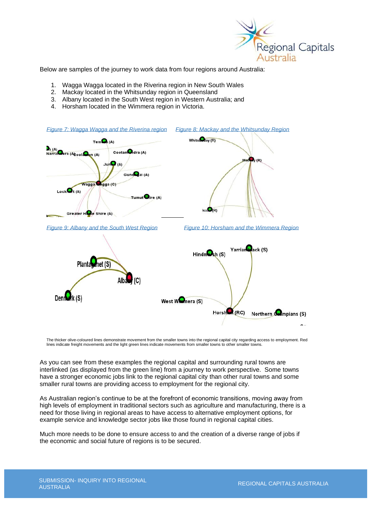

Below are samples of the journey to work data from four regions around Australia:

- 1. Wagga Wagga located in the Riverina region in New South Wales
- 2. Mackay located in the Whitsunday region in Queensland
- 3. Albany located in the South West region in Western Australia; and
- 4. Horsham located in the Wimmera region in Victoria.

<span id="page-11-1"></span><span id="page-11-0"></span>

The thicker olive-coloured lines demonstrate movement from the smaller towns into the regional capital city regarding access to employment. Red lines indicate freight movements and the light green lines indicate movements from smaller towns to other smaller towns.

As you can see from these examples the regional capital and surrounding rural towns are interlinked (as displayed from the green line) from a journey to work perspective. Some towns have a stronger economic jobs link to the regional capital city than other rural towns and some smaller rural towns are providing access to employment for the regional city.

As Australian region's continue to be at the forefront of economic transitions, moving away from high levels of employment in traditional sectors such as agriculture and manufacturing, there is a need for those living in regional areas to have access to alternative employment options, for example service and knowledge sector jobs like those found in regional capital cities.

Much more needs to be done to ensure access to and the creation of a diverse range of jobs if the economic and social future of regions is to be secured.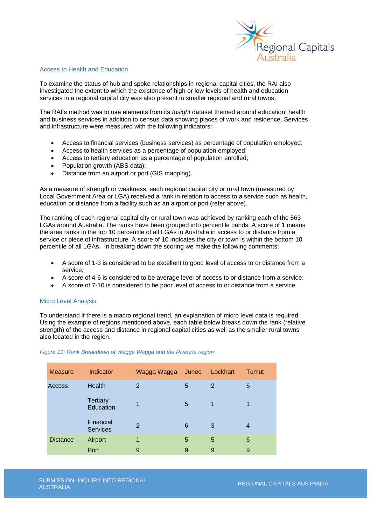

### Access to Health and Education

To examine the status of hub and spoke relationships in regional capital cities, the RAI also investigated the extent to which the existence of high or low levels of health and education services in a regional capital city was also present in smaller regional and rural towns.

The RAI's method was to use elements from its *Insight* dataset themed around education, health and business services in addition to census data showing places of work and residence. Services and infrastructure were measured with the following indicators:

- Access to financial services (business services) as percentage of population employed;
- Access to health services as a percentage of population employed;
- Access to tertiary education as a percentage of population enrolled;
- Population growth (ABS data);
- Distance from an airport or port (GIS mapping).

As a measure of strength or weakness, each regional capital city or rural town (measured by Local Government Area or LGA) received a rank in relation to access to a service such as health, education or distance from a facility such as an airport or port (refer above).

The ranking of each regional capital city or rural town was achieved by ranking each of the 563 LGAs around Australia. The ranks have been grouped into percentile bands. A score of 1 means the area ranks in the top 10 percentile of all LGAs in Australia in access to or distance from a service or piece of infrastructure. A score of 10 indicates the city or town is within the bottom 10 percentile of all LGAs. In breaking down the scoring we make the following comments:

- A score of 1-3 is considered to be excellent to good level of access to or distance from a service;
- A score of 4-6 is considered to be average level of access to or distance from a service;
- A score of 7-10 is considered to be poor level of access to or distance from a service.

## Micro Level Analysis

To understand if there is a macro regional trend, an explanation of micro level data is required. Using the example of regions mentioned above, each table below breaks down the rank (relative strength) of the access and distance in regional capital cities as well as the smaller rural towns also located in the region.

| <b>Measure</b>  | Indicator                    | Wagga Wagga    | Junee | Lockhart    | Tumut |
|-----------------|------------------------------|----------------|-------|-------------|-------|
| Access          | Health                       | $\overline{2}$ | 5     | 2           | 6     |
|                 | <b>Tertiary</b><br>Education | 1              | 5     | $\mathbf 1$ | 1     |
|                 | Financial<br><b>Services</b> | $\overline{2}$ | 6     | 3           | 4     |
| <b>Distance</b> | Airport                      | 1              | 5     | 5           | 6     |
|                 | Port                         | 9              | 9     | 9           | 9     |

## <span id="page-12-0"></span>*Figure 11: Rank Breakdown of Wagga Wagga and the Riverina region*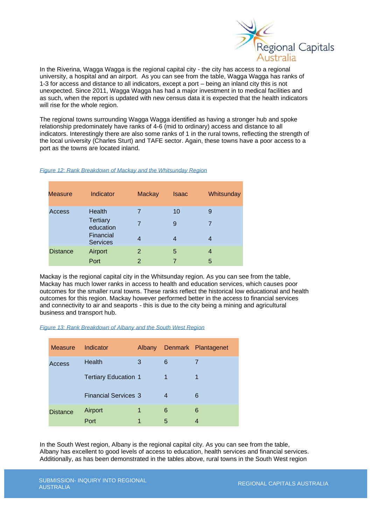

In the Riverina, Wagga Wagga is the regional capital city - the city has access to a regional university, a hospital and an airport. As you can see from the table, Wagga Wagga has ranks of 1-3 for access and distance to all indicators, except a port – being an inland city this is not unexpected. Since 2011, Wagga Wagga has had a major investment in to medical facilities and as such, when the report is updated with new census data it is expected that the health indicators will rise for the whole region.

The regional towns surrounding Wagga Wagga identified as having a stronger hub and spoke relationship predominately have ranks of 4-6 (mid to ordinary) access and distance to all indicators. Interestingly there are also some ranks of 1 in the rural towns, reflecting the strength of the local university (Charles Sturt) and TAFE sector. Again, these towns have a poor access to a port as the towns are located inland.

#### <span id="page-13-0"></span>*Figure 12: Rank Breakdown of Mackay and the Whitsunday Region*

| Measure         | Indicator                    | <b>Mackay</b> | <b>Isaac</b> | Whitsunday |
|-----------------|------------------------------|---------------|--------------|------------|
| Access          | Health                       |               | 10           | 9          |
|                 | <b>Tertiary</b><br>education |               | 9            | 7          |
|                 | Financial<br><b>Services</b> | 4             | 4            |            |
| <b>Distance</b> | Airport                      | 2             | 5            | 4          |
|                 | Port                         | 2             | 7            | 5          |

Mackay is the regional capital city in the Whitsunday region. As you can see from the table, Mackay has much lower ranks in access to health and education services, which causes poor outcomes for the smaller rural towns. These ranks reflect the historical low educational and health outcomes for this region. Mackay however performed better in the access to financial services and connectivity to air and seaports - this is due to the city being a mining and agricultural business and transport hub.

#### <span id="page-13-1"></span>*Figure 13: Rank Breakdown of Albany and the South West Region*

| <b>Measure</b>  | Indicator                   | <b>Albany</b> |   | Denmark Plantagenet |
|-----------------|-----------------------------|---------------|---|---------------------|
| Access          | <b>Health</b>               | 3             | 6 |                     |
|                 | <b>Tertiary Education 1</b> |               | 1 | 1                   |
|                 | <b>Financial Services 3</b> |               | 4 | 6                   |
| <b>Distance</b> | Airport                     | 1             | 6 | 6                   |
|                 | Port                        | 1             | 5 |                     |

In the South West region, Albany is the regional capital city. As you can see from the table, Albany has excellent to good levels of access to education, health services and financial services. Additionally, as has been demonstrated in the tables above, rural towns in the South West region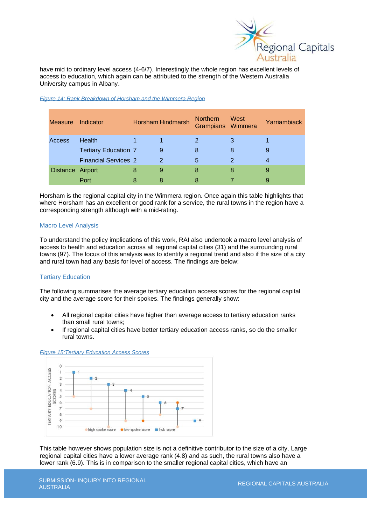

have mid to ordinary level access (4-6/7). Interestingly the whole region has excellent levels of access to education, which again can be attributed to the strength of the Western Australia University campus in Albany.

| <b>Measure</b> | Indicator                   | <b>Horsham Hindmarsh</b> |               | <b>Northern</b><br>Grampians Wimmera | West | Yarriambiack |
|----------------|-----------------------------|--------------------------|---------------|--------------------------------------|------|--------------|
| Access         | Health                      |                          |               | 2                                    | 3    |              |
|                | <b>Tertiary Education 7</b> |                          | 9             | 8                                    | 8    | 9            |
|                | <b>Financial Services 2</b> |                          | $\mathcal{P}$ | 5                                    | 2    | 4            |
|                | Distance Airport            | 8                        | 9             | 8                                    | 8    | 9            |
|                | Port                        |                          |               |                                      |      | 9            |

#### <span id="page-14-0"></span>*Figure 14: Rank Breakdown of Horsham and the Wimmera Region*

Horsham is the regional capital city in the Wimmera region. Once again this table highlights that where Horsham has an excellent or good rank for a service, the rural towns in the region have a corresponding strength although with a mid-rating.

## Macro Level Analysis

To understand the policy implications of this work, RAI also undertook a macro level analysis of access to health and education across all regional capital cities (31) and the surrounding rural towns (97). The focus of this analysis was to identify a regional trend and also if the size of a city and rural town had any basis for level of access. The findings are below:

# Tertiary Education

The following summarises the average tertiary education access scores for the regional capital city and the average score for their spokes. The findings generally show:

- All regional capital cities have higher than average access to tertiary education ranks than small rural towns;
- If regional capital cities have better tertiary education access ranks, so do the smaller rural towns.



#### <span id="page-14-1"></span>*Figure 15:Tertiary Education Access Scores*

This table however shows population size is not a definitive contributor to the size of a city. Large regional capital cities have a lower average rank (4.8) and as such, the rural towns also have a lower rank (6.9). This is in comparison to the smaller regional capital cities, which have an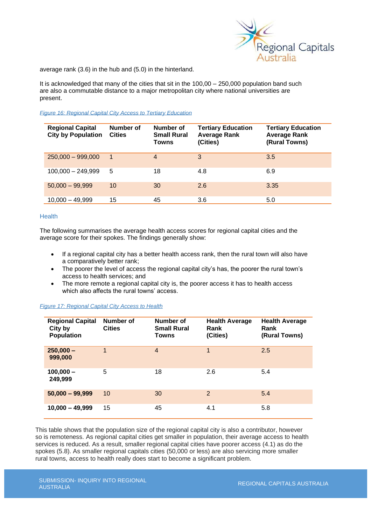

average rank (3.6) in the hub and (5.0) in the hinterland.

It is acknowledged that many of the cities that sit in the 100,00 – 250,000 population band such are also a commutable distance to a major metropolitan city where national universities are present.

#### <span id="page-15-0"></span>*Figure 16: Regional Capital City Access to Tertiary Education*

| <b>Regional Capital</b><br><b>City by Population</b> | <b>Number of</b><br><b>Cities</b> | Number of<br><b>Small Rural</b><br>Towns | <b>Tertiary Education</b><br><b>Average Rank</b><br>(Cities) | <b>Tertiary Education</b><br><b>Average Rank</b><br>(Rural Towns) |
|------------------------------------------------------|-----------------------------------|------------------------------------------|--------------------------------------------------------------|-------------------------------------------------------------------|
| $250,000 - 999,000$                                  | $\overline{1}$                    | $\overline{4}$                           | 3                                                            | 3.5                                                               |
| $100,000 - 249,999$                                  | 5                                 | 18                                       | 4.8                                                          | 6.9                                                               |
| $50,000 - 99,999$                                    | 10                                | 30                                       | 2.6                                                          | 3.35                                                              |
| $10,000 - 49,999$                                    | 15                                | 45                                       | 3.6                                                          | 5.0                                                               |

### Health

The following summarises the average health access scores for regional capital cities and the average score for their spokes. The findings generally show:

- If a regional capital city has a better health access rank, then the rural town will also have a comparatively better rank;
- The poorer the level of access the regional capital city's has, the poorer the rural town's access to health services; and
- The more remote a regional capital city is, the poorer access it has to health access which also affects the rural towns' access.

| <b>Regional Capital</b><br>City by<br><b>Population</b> | Number of<br><b>Cities</b> | Number of<br><b>Small Rural</b><br>Towns | <b>Health Average</b><br>Rank<br>(Cities) | <b>Health Average</b><br>Rank<br>(Rural Towns) |
|---------------------------------------------------------|----------------------------|------------------------------------------|-------------------------------------------|------------------------------------------------|
| $250,000 -$<br>999,000                                  | 1                          | $\overline{4}$                           | 1                                         | 2.5                                            |
| $100,000 -$<br>249,999                                  | 5                          | 18                                       | 2.6                                       | 5.4                                            |
| $50,000 - 99,999$                                       | 10                         | 30                                       | $\overline{2}$                            | 5.4                                            |
| $10,000 - 49,999$                                       | 15                         | 45                                       | 4.1                                       | 5.8                                            |

#### <span id="page-15-1"></span>*Figure 17: Regional Capital City Access to Health*

This table shows that the population size of the regional capital city is also a contributor, however so is remoteness. As regional capital cities get smaller in population, their average access to health services is reduced. As a result, smaller regional capital cities have poorer access (4.1) as do the spokes (5.8). As smaller regional capitals cities (50,000 or less) are also servicing more smaller rural towns, access to health really does start to become a significant problem.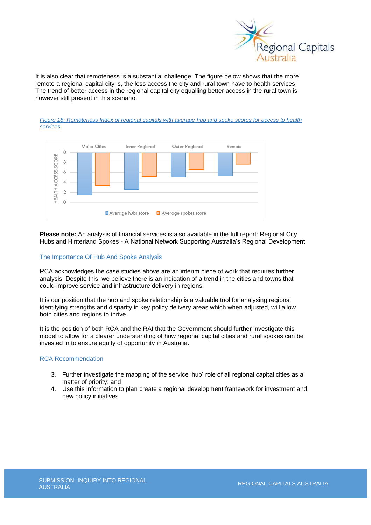

It is also clear that remoteness is a substantial challenge. The figure below shows that the more remote a regional capital city is, the less access the city and rural town have to health services. The trend of better access in the regional capital city equalling better access in the rural town is however still present in this scenario.

<span id="page-16-0"></span>



**Please note:** An analysis of financial services is also available in the full report: Regional City Hubs and Hinterland Spokes - A National Network Supporting Australia's Regional Development

## The Importance Of Hub And Spoke Analysis

RCA acknowledges the case studies above are an interim piece of work that requires further analysis. Despite this, we believe there is an indication of a trend in the cities and towns that could improve service and infrastructure delivery in regions.

It is our position that the hub and spoke relationship is a valuable tool for analysing regions, identifying strengths and disparity in key policy delivery areas which when adjusted, will allow both cities and regions to thrive.

It is the position of both RCA and the RAI that the Government should further investigate this model to allow for a clearer understanding of how regional capital cities and rural spokes can be invested in to ensure equity of opportunity in Australia.

#### RCA Recommendation

- 3. Further investigate the mapping of the service 'hub' role of all regional capital cities as a matter of priority; and
- 4. Use this information to plan create a regional development framework for investment and new policy initiatives.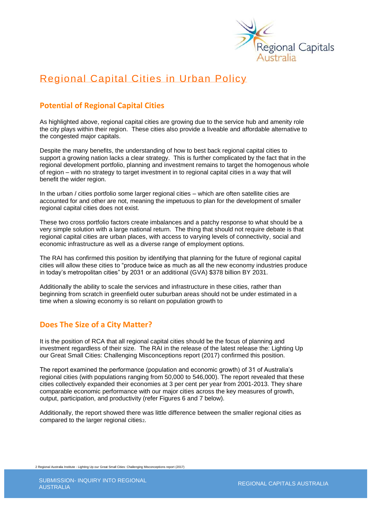

# Regional Capital Cities in Urban Policy

# **Potential of Regional Capital Cities**

As highlighted above, regional capital cities are growing due to the service hub and amenity role the city plays within their region. These cities also provide a liveable and affordable alternative to the congested major capitals.

Despite the many benefits, the understanding of how to best back regional capital cities to support a growing nation lacks a clear strategy. This is further complicated by the fact that in the regional development portfolio, planning and investment remains to target the homogenous whole of region – with no strategy to target investment in to regional capital cities in a way that will benefit the wider region.

In the urban / cities portfolio some larger regional cities – which are often satellite cities are accounted for and other are not, meaning the impetuous to plan for the development of smaller regional capital cities does not exist.

These two cross portfolio factors create imbalances and a patchy response to what should be a very simple solution with a large national return. The thing that should not require debate is that regional capital cities are urban places, with access to varying levels of connectivity, social and economic infrastructure as well as a diverse range of employment options.

The RAI has confirmed this position by identifying that planning for the future of regional capital cities will allow these cities to "produce twice as much as all the new economy industries produce in today's metropolitan cities" by 2031 or an additional (GVA) \$378 billion BY 2031.

Additionally the ability to scale the services and infrastructure in these cities, rather than beginning from scratch in greenfield outer suburban areas should not be under estimated in a time when a slowing economy is so reliant on population growth to

# **Does The Size of a City Matter?**

It is the position of RCA that all regional capital cities should be the focus of planning and investment regardless of their size. The RAI in the release of the latest release the: Lighting Up our Great Small Cities: Challenging Misconceptions report (2017) confirmed this position.

The report examined the performance (population and economic growth) of 31 of Australia's regional cities (with populations ranging from 50,000 to 546,000). The report revealed that these cities collectively expanded their economies at 3 per cent per year from 2001-2013. They share comparable economic performance with our major cities across the key measures of growth, output, participation, and productivity (refer Figures 6 and 7 below).

Additionally, the report showed there was little difference between the smaller regional cities as compared to the larger regional cities<sub>2</sub>.

2 Regional Australia Institute - Lighting Up our Great Small Cities: Challenging Misconceptions report (2017)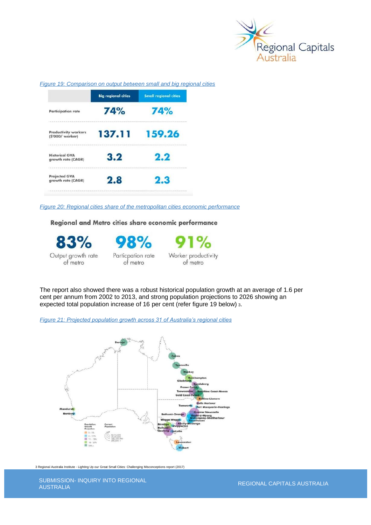

<span id="page-18-0"></span>

|  | Figure 19: Comparison on output between small and big regional cities |
|--|-----------------------------------------------------------------------|
|  |                                                                       |

|                                                 | <b>Big regional cities</b> | <b>Small regional cities</b> |
|-------------------------------------------------|----------------------------|------------------------------|
| <b>Participation rate</b>                       | 74%                        | 74%                          |
| <b>Productivity workers</b><br>(\$'000/ worker) | 137.11                     | 159.26                       |
| <b>Historical GVA</b><br>growth rate (CAGR)     | 3.2                        | 2.2                          |
| <b>Projected GVA</b><br>growth rate (CAGR)      | 2.8                        | 2.3                          |

<span id="page-18-1"></span>*Figure 20: Regional cities share of the metropolitan cities economic performance* 

Regional and Metro cities share economic performance

83% Output growth rate of metro

98% Particpation rate of metro



The report also showed there was a robust historical population growth at an average of 1.6 per cent per annum from 2002 to 2013, and strong population projections to 2026 showing an expected total population increase of 16 per cent (refer figure 19 below) <sup>3</sup>.

<span id="page-18-2"></span>*Figure 21: Projected population growth across 31 of Australia's regional cities*



3 Regional Australia Institute - Lighting Up our Great Small Cities: Challenging Misconceptions report (2017)

SUBMISSION- INQUIRY INTO REGIONAL<br>AUSTRALIA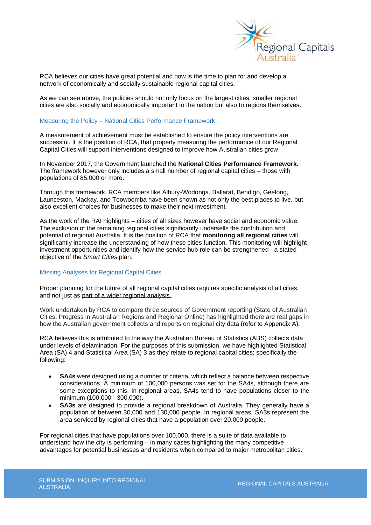

RCA believes our cities have great potential and now is the time to plan for and develop a network of economically and socially sustainable regional capital cities.

As we can see above, the policies should not only focus on the largest cities, smaller regional cities are also socially and economically important to the nation but also to regions themselves.

#### Measuring the Policy – National Cities Performance Framework

A measurement of achievement must be established to ensure the policy interventions are successful. It is the position of RCA, that properly measuring the performance of our Regional Capital Cities will support interventions designed to improve how Australian cities grow.

In November 2017, the Government launched the **National Cities Performance Framework.**  The framework however only includes a small number of regional capital cities – those with populations of 85,000 or more.

Through this framework, RCA members like Albury-Wodonga, Ballarat, Bendigo, Geelong, Launceston, Mackay, and Toowoomba have been shown as not only the best places to live, but also excellent choices for businesses to make their next investment.

As the work of the RAI highlights – cities of all sizes however have social and economic value. The exclusion of the remaining regional cities significantly undersells the contribution and potential of regional Australia. It is the position of RCA that **monitoring all regional cities** will significantly increase the understanding of how these cities function. This monitoring will highlight investment opportunities and identify how the service hub role can be strengthened - a stated objective of the *Smart Cities* plan.

## Missing Analyses for Regional Capital Cities

Proper planning for the future of all regional capital cities requires specific analysis of all cities, and not just as part of a wider regional analysis.

Work undertaken by RCA to compare three sources of Government reporting (State of Australian Cities, Progress in Australian Regions and Regional Online) has highlighted there are real gaps in how the Australian government collects and reports on regional city data (refer to Appendix A).

RCA believes this is attributed to the way the Australian Bureau of Statistics (ABS) collects data under levels of delamination. For the purposes of this submission, we have highlighted Statistical Area (SA) 4 and Statistical Area (SA) 3 as they relate to regional capital cities; specifically the following:

- **SA4s** were designed using a number of criteria, which reflect a balance between respective considerations. A minimum of 100,000 persons was set for the SA4s, although there are some exceptions to this. In regional areas, SA4s tend to have populations closer to the minimum (100,000 - 300,000).
- **SA3s** are designed to provide a regional breakdown of Australia. They generally have a population of between 30,000 and 130,000 people. In regional areas, SA3s represent the area serviced by regional cities that have a population over 20,000 people.

For regional cities that have populations over 100,000, there is a suite of data available to understand how the city is performing – in many cases highlighting the many competitive advantages for potential businesses and residents when compared to major metropolitan cities.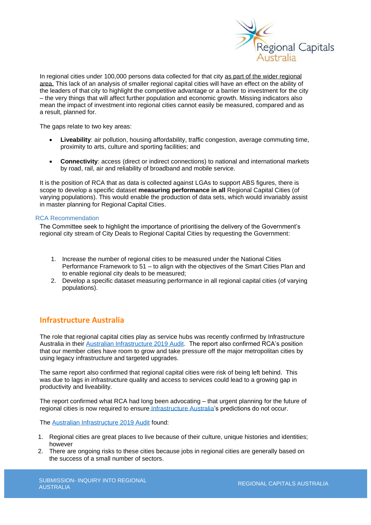

In regional cities under 100,000 persons data collected for that city as part of the wider regional area. This lack of an analysis of smaller regional capital cities will have an effect on the ability of the leaders of that city to highlight the competitive advantage or a barrier to investment for the city – the very things that will affect further population and economic growth. Missing indicators also mean the impact of investment into regional cities cannot easily be measured, compared and as a result, planned for.

The gaps relate to two key areas:

- **Liveability**: air pollution, housing affordability, traffic congestion, average commuting time, proximity to arts, culture and sporting facilities; and
- **Connectivity**: access (direct or indirect connections) to national and international markets by road, rail, air and reliability of broadband and mobile service.

It is the position of RCA that as data is collected against LGAs to support ABS figures, there is scope to develop a specific dataset **measuring performance in all** Regional Capital Cities (of varying populations). This would enable the production of data sets, which would invariably assist in master planning for Regional Capital Cities.

## RCA Recommendation

The Committee seek to highlight the importance of prioritising the delivery of the Government's regional city stream of City Deals to Regional Capital Cities by requesting the Government:

- 1. Increase the number of regional cities to be measured under the National Cities Performance Framework to 51 – to align with the objectives of the Smart Cities Plan and to enable regional city deals to be measured;
- 2. Develop a specific dataset measuring performance in all regional capital cities (of varying populations).

# **Infrastructure Australia**

The role that regional capital cities play as service hubs was recently confirmed by Infrastructure Australia in their [Australian Infrastructure 2019 Audit.](https://www.infrastructureaustralia.gov.au/sites/default/files/2019-08/Australian%20Infrastructure%20Audit%202019.pdf) The report also confirmed RCA's position that our member cities have room to grow and take pressure off the major metropolitan cities by using legacy infrastructure and targeted upgrades.

The same report also confirmed that regional capital cities were risk of being left behind. This was due to lags in infrastructure quality and access to services could lead to a growing gap in productivity and liveability.

The report confirmed what RCA had long been advocating – that urgent planning for the future of regional cities is now required to ensure [Infrastructure Australia's](http://infrastructureaustralia.gov.au/) predictions do not occur.

The [Australian Infrastructure 2019 Audit](https://www.infrastructureaustralia.gov.au/sites/default/files/2019-08/Australian%20Infrastructure%20Audit%202019.pdf) found:

- 1. Regional cities are great places to live because of their culture, unique histories and identities; however
- 2. There are ongoing risks to these cities because jobs in regional cities are generally based on the success of a small number of sectors.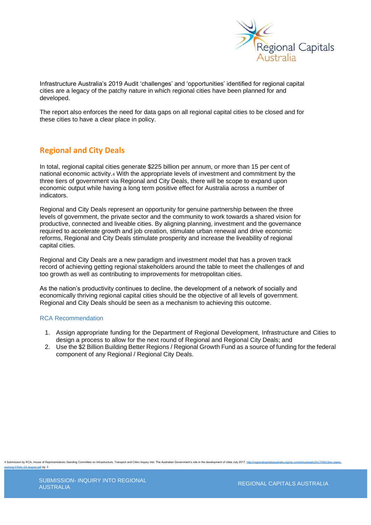

Infrastructure Australia's 2019 Audit 'challenges' and 'opportunities' identified for regional capital cities are a legacy of the patchy nature in which regional cities have been planned for and developed.

The report also enforces the need for data gaps on all regional capital cities to be closed and for these cities to have a clear place in policy.

# **Regional and City Deals**

In total, regional capital cities generate \$225 billion per annum, or more than 15 per cent of national economic activity.<sup>4</sup> With the appropriate levels of investment and commitment by the three tiers of government via Regional and City Deals, there will be scope to expand upon economic output while having a long term positive effect for Australia across a number of indicators.

Regional and City Deals represent an opportunity for genuine partnership between the three levels of government, the private sector and the community to work towards a shared vision for productive, connected and liveable cities. By aligning planning, investment and the governance required to accelerate growth and job creation, stimulate urban renewal and drive economic reforms, Regional and City Deals stimulate prosperity and increase the liveability of regional capital cities.

Regional and City Deals are a new paradigm and investment model that has a proven track record of achieving getting regional stakeholders around the table to meet the challenges of and too growth as well as contributing to improvements for metropolitan cities.

As the nation's productivity continues to decline, the development of a network of socially and economically thriving regional capital cities should be the objective of all levels of government. Regional and City Deals should be seen as a mechanism to achieving this outcome.

# RCA Recommendation

- 1. Assign appropriate funding for the Department of Regional Development, Infrastructure and Cities to design a process to allow for the next round of Regional and Regional City Deals; and
- 2. Use the \$2 Billion Building Better Regions / Regional Growth Fund as a source of funding for the federal component of any Regional / Regional City Deals.

ion by RCA, House of Representatives Standing Committee on Infrastructure, Transport and Cities Inquiry into: The Australian Government's role in the development of cities July 2017. rking-FINAL-04-August.pdf pg. 3

REGIONAL CAPITALS AUSTRALIA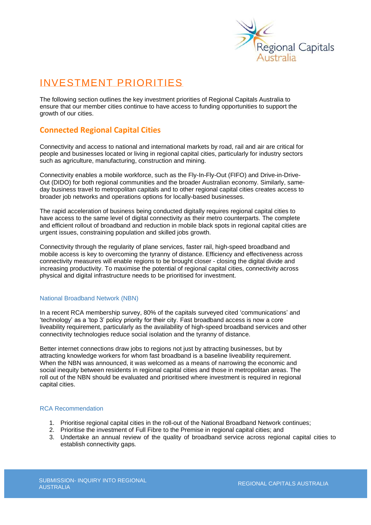

# INVESTMENT PRIORITIES

The following section outlines the key investment priorities of Regional Capitals Australia to ensure that our member cities continue to have access to funding opportunities to support the growth of our cities.

# **Connected Regional Capital Cities**

Connectivity and access to national and international markets by road, rail and air are critical for people and businesses located or living in regional capital cities, particularly for industry sectors such as agriculture, manufacturing, construction and mining.

Connectivity enables a mobile workforce, such as the Fly-In-Fly-Out (FIFO) and Drive-in-Drive-Out (DIDO) for both regional communities and the broader Australian economy. Similarly, sameday business travel to metropolitan capitals and to other regional capital cities creates access to broader job networks and operations options for locally-based businesses.

The rapid acceleration of business being conducted digitally requires regional capital cities to have access to the same level of digital connectivity as their metro counterparts. The complete and efficient rollout of broadband and reduction in mobile black spots in regional capital cities are urgent issues, constraining population and skilled jobs growth.

Connectivity through the regularity of plane services, faster rail, high-speed broadband and mobile access is key to overcoming the tyranny of distance. Efficiency and effectiveness across connectivity measures will enable regions to be brought closer - closing the digital divide and increasing productivity. To maximise the potential of regional capital cities, connectivity across physical and digital infrastructure needs to be prioritised for investment.

# National Broadband Network (NBN)

In a recent RCA membership survey, 80% of the capitals surveyed cited 'communications' and 'technology' as a 'top 3' policy priority for their city. Fast broadband access is now a core liveability requirement, particularly as the availability of high-speed broadband services and other connectivity technologies reduce social isolation and the tyranny of distance.

Better internet connections draw jobs to regions not just by attracting businesses, but by attracting knowledge workers for whom fast broadband is a baseline liveability requirement. When the NBN was announced, it was welcomed as a means of narrowing the economic and social inequity between residents in regional capital cities and those in metropolitan areas. The roll out of the NBN should be evaluated and prioritised where investment is required in regional capital cities.

# RCA Recommendation

- 1. Prioritise regional capital cities in the roll-out of the National Broadband Network continues;
- 2. Prioritise the investment of Full Fibre to the Premise in regional capital cities; and
- 3. Undertake an annual review of the quality of broadband service across regional capital cities to establish connectivity gaps*.*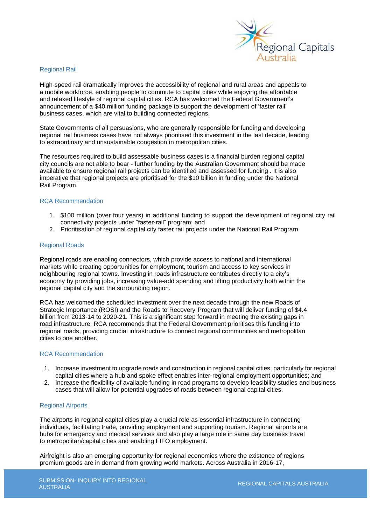

### Regional Rail

High-speed rail dramatically improves the accessibility of regional and rural areas and appeals to a mobile workforce, enabling people to commute to capital cities while enjoying the affordable and relaxed lifestyle of regional capital cities. RCA has welcomed the Federal Government's announcement of a \$40 million funding package to support the development of 'faster rail' business cases, which are vital to building connected regions.

State Governments of all persuasions, who are generally responsible for funding and developing regional rail business cases have not always prioritised this investment in the last decade, leading to extraordinary and unsustainable congestion in metropolitan cities.

The resources required to build assessable business cases is a financial burden regional capital city councils are not able to bear - further funding by the Australian Government should be made available to ensure regional rail projects can be identified and assessed for funding . It is also imperative that regional projects are prioritised for the \$10 billion in funding under the National Rail Program.

## RCA Recommendation

- 1. \$100 million (over four years) in additional funding to support the development of regional city rail connectivity projects under "faster-rail" program; and
- 2. Prioritisation of regional capital city faster rail projects under the National Rail Program.

#### Regional Roads

Regional roads are enabling connectors, which provide access to national and international markets while creating opportunities for employment, tourism and access to key services in neighbouring regional towns. Investing in roads infrastructure contributes directly to a city's economy by providing jobs, increasing value-add spending and lifting productivity both within the regional capital city and the surrounding region.

RCA has welcomed the scheduled investment over the next decade through the new Roads of Strategic Importance (ROSI) and the Roads to Recovery Program that will deliver funding of \$4.4 billion from 2013-14 to 2020-21. This is a significant step forward in meeting the existing gaps in road infrastructure. RCA recommends that the Federal Government prioritises this funding into regional roads, providing crucial infrastructure to connect regional communities and metropolitan cities to one another.

#### RCA Recommendation

- 1. Increase investment to upgrade roads and construction in regional capital cities, particularly for regional capital cities where a hub and spoke effect enables inter-regional employment opportunities; and
- 2. Increase the flexibility of available funding in road programs to develop feasibility studies and business cases that will allow for potential upgrades of roads between regional capital cities.

#### Regional Airports

The airports in regional capital cities play a crucial role as essential infrastructure in connecting individuals, facilitating trade, providing employment and supporting tourism. Regional airports are hubs for emergency and medical services and also play a large role in same day business travel to metropolitan/capital cities and enabling FIFO employment.

Airfreight is also an emerging opportunity for regional economies where the existence of regions premium goods are in demand from growing world markets. Across Australia in 2016-17,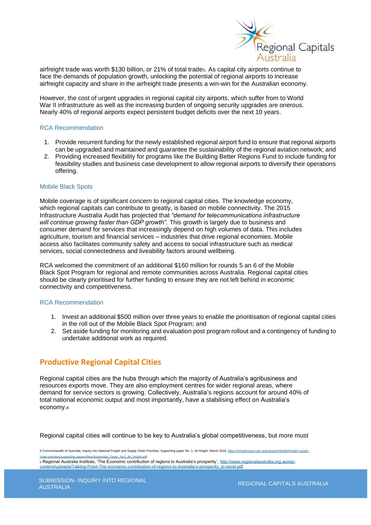

airfreight trade was worth \$130 billion, or 21% of total trade5. As capital city airports continue to face the demands of population growth, unlocking the potential of regional airports to increase airfreight capacity and share in the airfreight trade presents a win-win for the Australian economy.

However, the cost of urgent upgrades in regional capital city airports, which suffer from to World War II infrastructure as well as the increasing burden of ongoing security upgrades are onerous. Nearly 40% of regional airports expect persistent budget deficits over the next 10 years.

# RCA Recommendation

- 1. Provide recurrent funding for the newly established regional airport fund to ensure that regional airports can be upgraded and maintained and guarantee the sustainability of the regional aviation network; and
- 2. Providing increased flexibility for programs like the Building Better Regions Fund to include funding for feasibility studies and business case development to allow regional airports to diversify their operations offering.

#### Mobile Black Spots

Mobile coverage is of significant concern to regional capital cities. The knowledge economy, which regional capitals can contribute to greatly, is based on mobile connectivity. The 2015 Infrastructure Australia Audit has projected that *"demand for telecommunications infrastructure*  will continue growing faster than GDP growth". This growth is largely due to business and consumer demand for services that increasingly depend on high volumes of data. This includes agriculture, tourism and financial services – industries that drive regional economies. Mobile access also facilitates community safety and access to social infrastructure such as medical services, social connectedness and liveability factors around wellbeing.

RCA welcomed the commitment of an additional \$160 million for rounds 5 an 6 of the Mobile Black Spot Program for regional and remote communities across Australia. Regional capital cities should be clearly prioritised for further funding to ensure they are not left behind in economic connectivity and competitiveness.

## RCA Recommendation

- 1. Invest an additional \$500 million over three years to enable the prioritisation of regional capital cities in the roll out of the Mobile Black Spot Program; and
- 2. Set aside funding for monitoring and evaluation post program rollout and a contingency of funding to undertake additional work as required.

# **Productive Regional Capital Cities**

Regional capital cities are the hubs through which the majority of Australia's agribusiness and resources exports move. They are also employment centres for wider regional areas, where demand for service sectors is growing. Collectively, Australia's regions account for around 40% of total national economic output and most importantly, have a stabilising effect on Australia's economy.<sup>6</sup>

Regional capital cities will continue to be key to Australia's global competitiveness, but more must

5 Commonwealth of Australia, Inquiry into National Freight and Supply Chain Priorities, Supporting paper No. 1, Air freight, March 2018, https://infrastr [chain-priorities/supporting-papers/files/Supporting\\_Paper\\_No1\\_Air\\_freight.pdf](https://infrastructure.gov.au/transport/freight/freight-supply-chain-priorities/supporting-papers/files/Supporting_Paper_No1_Air_freight.pdf)

6 Regional Australia Institute, 'The Economic contribution of regions to Australia's prosperity'[, http://www.regionalaustralia.org.au/wp](http://www.regionalaustralia.org.au/wp-content/uploads/Talking-Point-The-economic-contribution-of-regions-to-Australia)[content/uploads/Talking-Point-The-economic-contribution-of-regions-to-Australia's-prosperity\\_to-send.pdf](http://www.regionalaustralia.org.au/wp-content/uploads/Talking-Point-The-economic-contribution-of-regions-to-Australia)

REGIONAL CAPITALS AUSTRALIA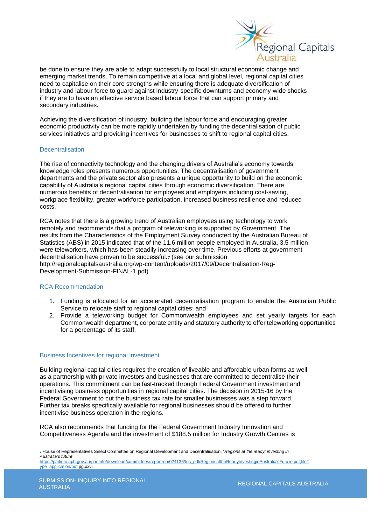

be done to ensure they are able to adapt successfully to local structural economic change and emerging market trends. To remain competitive at a local and global level, regional capital cities need to capitalise on their core strengths while ensuring there is adequate diversification of industry and labour force to guard against industry-specific downturns and economy-wide shocks if they are to have an effective service based labour force that can support primary and secondary industries.

Achieving the diversification of industry, building the labour force and encouraging greater economic productivity can be more rapidly undertaken by funding the decentralisation of public services initiatives and providing incentives for businesses to shift to regional capital cities.

## **Decentralisation**

The rise of connectivity technology and the changing drivers of Australia's economy towards knowledge roles presents numerous opportunities. The decentralisation of government departments and the private sector also presents a unique opportunity to build on the economic capability of Australia's regional capital cities through economic diversification. There are numerous benefits of decentralisation for employees and employers including cost-saving, workplace flexibility, greater workforce participation, increased business resilience and reduced costs.

RCA notes that there is a growing trend of Australian employees using technology to work remotely and recommends that a program of teleworking is supported by Government. The results from the Characteristics of the Employment Survey conducted by the Australian Bureau of Statistics (ABS) in 2015 indicated that of the 11.6 million people employed in Australia, 3.5 million were teleworkers, which has been steadily increasing over time. Previous efforts at government decentralisation have proven to be successful.<sup>7</sup> (see our submission http://regionalcapitalsaustralia.org/wp-content/uploads/2017/09/Decentralisation-Reg-Development-Submission-FINAL-1.pdf)

## RCA Recommendation

- 1. Funding is allocated for an accelerated decentralisation program to enable the Australian Public Service to relocate staff to regional capital cities; and
- 2. Provide a teleworking budget for Commonwealth employees and set yearly targets for each Commonwealth department, corporate entity and statutory authority to offer teleworking opportunities for a percentage of its staff.

## Business Incentives for regional investment

Building regional capital cities requires the creation of liveable and affordable urban forms as well as a partnership with private investors and businesses that are committed to decentralise their operations. This commitment can be fast-tracked through Federal Government investment and incentivising business opportunities in regional capital cities. The decision in 2015-16 by the Federal Government to cut the business tax rate for smaller businesses was a step forward. Further tax breaks specifically available for regional businesses should be offered to further incentivise business operation in the regions.

RCA also recommends that funding for the Federal Government Industry Innovation and Competitiveness Agenda and the investment of \$188.5 million for Industry Growth Centres is

<sup>7</sup> House of Representatives Select Committee on Regional Development and Decentralisation, '*Regions at the ready; investing in Australia's future*' [https://parlinfo.aph.gov.au/parlInfo/download/committees/reportrep/024136/toc\\_pdf/RegionsattheReadyInvestinginAustralia'sFuture.pdf;fileT](https://parlinfo.aph.gov.au/parlInfo/download/committees/reportrep/024136/toc_pdf/RegionsattheReadyInvestinginAustralia)

[ype=application/pdf](https://parlinfo.aph.gov.au/parlInfo/download/committees/reportrep/024136/toc_pdf/RegionsattheReadyInvestinginAustralia) pg.xxvii

REGIONAL CAPITALS AUSTRALIA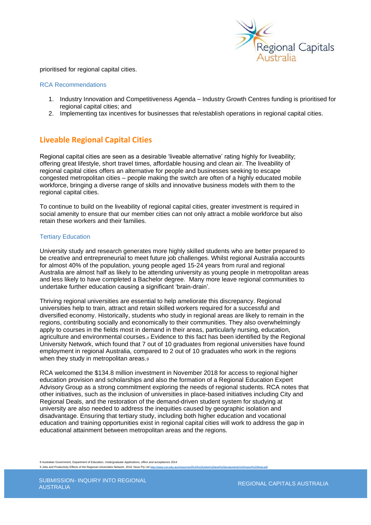

prioritised for regional capital cities.

## RCA Recommendations

- 1. Industry Innovation and Competitiveness Agenda Industry Growth Centres funding is prioritised for regional capital cities; and
- 2. Implementing tax incentives for businesses that re/establish operations in regional capital cities.

# **Liveable Regional Capital Cities**

Regional capital cities are seen as a desirable 'liveable alternative' rating highly for liveability; offering great lifestyle, short travel times, affordable housing and clean air. The liveability of regional capital cities offers an alternative for people and businesses seeking to escape congested metropolitan cities – people making the switch are often of a highly educated mobile workforce, bringing a diverse range of skills and innovative business models with them to the regional capital cities.

To continue to build on the liveability of regional capital cities, greater investment is required in social amenity to ensure that our member cities can not only attract a mobile workforce but also retain these workers and their families.

# Tertiary Education

University study and research generates more highly skilled students who are better prepared to be creative and entrepreneurial to meet future job challenges. Whilst regional Australia accounts for almost 40% of the population, young people aged 15-24 years from rural and regional Australia are almost half as likely to be attending university as young people in metropolitan areas and less likely to have completed a Bachelor degree. Many more leave regional communities to undertake further education causing a significant 'brain-drain'.

Thriving regional universities are essential to help ameliorate this discrepancy. Regional universities help to train, attract and retain skilled workers required for a successful and diversified economy. Historically, students who study in regional areas are likely to remain in the regions, contributing socially and economically to their communities. They also overwhelmingly apply to courses in the fields most in demand in their areas, particularly nursing, education, agriculture and environmental courses.<sup>8</sup> Evidence to this fact has been identified by the Regional University Network, which found that 7 out of 10 graduates from regional universities have found employment in regional Australia, compared to 2 out of 10 graduates who work in the regions when they study in metropolitan areas.9

RCA welcomed the \$134.8 million investment in November 2018 for access to regional higher education provision and scholarships and also the formation of a Regional Education Expert Advisory Group as a strong commitment exploring the needs of regional students. RCA notes that other initiatives, such as the inclusion of universities in place-based initiatives including City and Regional Deals, and the restoration of the demand-driven student system for studying at university are also needed to address the inequities caused by geographic isolation and disadvantage. Ensuring that tertiary study, including both higher education and vocational education and training opportunities exist in regional capital cities will work to address the gap in educational attainment between metropolitan areas and the regions.

8 Australian Government, Department of Education, *Undergraduate Applications, offers and acceptances 2014* 9 Jobs and Productivity Effects of the Regional Universities Network, 2018, Nous Pty Ltd http://w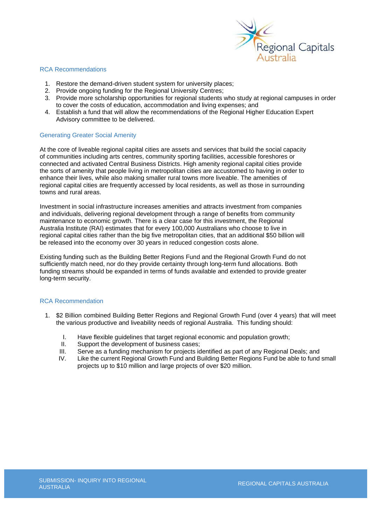

## RCA Recommendations

- 1. Restore the demand-driven student system for university places;
- 2. Provide ongoing funding for the Regional University Centres;
- 3. Provide more scholarship opportunities for regional students who study at regional campuses in order to cover the costs of education, accommodation and living expenses; and
- 4. Establish a fund that will allow the recommendations of the Regional Higher Education Expert Advisory committee to be delivered.

# Generating Greater Social Amenity

At the core of liveable regional capital cities are assets and services that build the social capacity of communities including arts centres, community sporting facilities, accessible foreshores or connected and activated Central Business Districts. High amenity regional capital cities provide the sorts of amenity that people living in metropolitan cities are accustomed to having in order to enhance their lives, while also making smaller rural towns more liveable. The amenities of regional capital cities are frequently accessed by local residents, as well as those in surrounding towns and rural areas.

Investment in social infrastructure increases amenities and attracts investment from companies and individuals, delivering regional development through a range of benefits from community maintenance to economic growth. There is a clear case for this investment, the Regional Australia Institute (RAI) estimates that for every 100,000 Australians who choose to live in regional capital cities rather than the big five metropolitan cities, that an additional \$50 billion will be released into the economy over 30 years in reduced congestion costs alone.

Existing funding such as the Building Better Regions Fund and the Regional Growth Fund do not sufficiently match need, nor do they provide certainty through long-term fund allocations. Both funding streams should be expanded in terms of funds available and extended to provide greater long-term security.

# RCA Recommendation

- 1. \$2 Billion combined Building Better Regions and Regional Growth Fund (over 4 years) that will meet the various productive and liveability needs of regional Australia. This funding should:
	- I. Have flexible guidelines that target regional economic and population growth;<br>II. Support the development of business cases:
	- II. Support the development of business cases;<br>III. Serve as a funding mechanism for projects in
	- Serve as a funding mechanism for projects identified as part of any Regional Deals; and
	- IV. Like the current Regional Growth Fund and Building Better Regions Fund be able to fund small projects up to \$10 million and large projects of over \$20 million.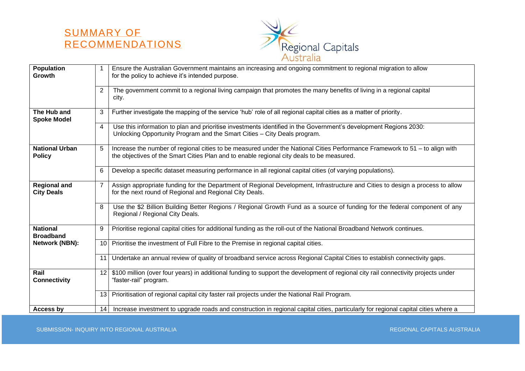# SUMMARY OF RECOMMENDATIONS



| <b>Population</b>                        | 1              | Ensure the Australian Government maintains an increasing and ongoing commitment to regional migration to allow                                                                                                           |
|------------------------------------------|----------------|--------------------------------------------------------------------------------------------------------------------------------------------------------------------------------------------------------------------------|
| Growth                                   |                | for the policy to achieve it's intended purpose.                                                                                                                                                                         |
|                                          | $\overline{2}$ | The government commit to a regional living campaign that promotes the many benefits of living in a regional capital<br>city.                                                                                             |
| The Hub and<br><b>Spoke Model</b>        | 3              | Further investigate the mapping of the service 'hub' role of all regional capital cities as a matter of priority.                                                                                                        |
|                                          | 4              | Use this information to plan and prioritise investments identified in the Government's development Regions 2030:<br>Unlocking Opportunity Program and the Smart Cities - City Deals program.                             |
| <b>National Urban</b><br><b>Policy</b>   | 5              | Increase the number of regional cities to be measured under the National Cities Performance Framework to 51 – to align with<br>the objectives of the Smart Cities Plan and to enable regional city deals to be measured. |
|                                          | 6              | Develop a specific dataset measuring performance in all regional capital cities (of varying populations).                                                                                                                |
| <b>Regional and</b><br><b>City Deals</b> | $\overline{7}$ | Assign appropriate funding for the Department of Regional Development, Infrastructure and Cities to design a process to allow<br>for the next round of Regional and Regional City Deals.                                 |
|                                          | 8              | Use the \$2 Billion Building Better Regions / Regional Growth Fund as a source of funding for the federal component of any<br>Regional / Regional City Deals.                                                            |
| <b>National</b><br><b>Broadband</b>      | 9              | Prioritise regional capital cities for additional funding as the roll-out of the National Broadband Network continues.                                                                                                   |
| Network (NBN):                           | 10             | Prioritise the investment of Full Fibre to the Premise in regional capital cities.                                                                                                                                       |
|                                          | 11             | Undertake an annual review of quality of broadband service across Regional Capital Cities to establish connectivity gaps.                                                                                                |
| Rail<br><b>Connectivity</b>              | 12             | \$100 million (over four years) in additional funding to support the development of regional city rail connectivity projects under<br>"faster-rail" program.                                                             |
|                                          | 13             | Prioritisation of regional capital city faster rail projects under the National Rail Program.                                                                                                                            |
| Access by                                | 14             | Increase investment to upgrade roads and construction in regional capital cities, particularly for regional capital cities where a                                                                                       |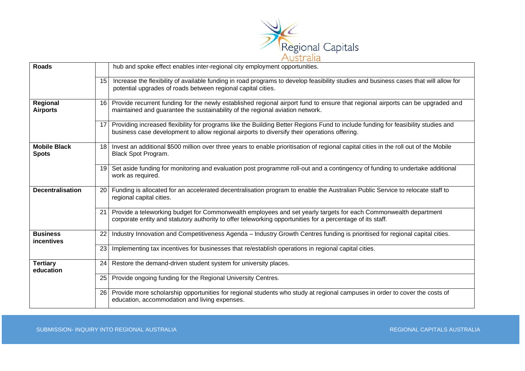

| <b>Roads</b>                        |           | hub and spoke effect enables inter-regional city employment opportunities.                                                                                                                                                        |
|-------------------------------------|-----------|-----------------------------------------------------------------------------------------------------------------------------------------------------------------------------------------------------------------------------------|
|                                     | 15        | Increase the flexibility of available funding in road programs to develop feasibility studies and business cases that will allow for<br>potential upgrades of roads between regional capital cities.                              |
| Regional<br><b>Airports</b>         | 16 I      | Provide recurrent funding for the newly established regional airport fund to ensure that regional airports can be upgraded and<br>maintained and guarantee the sustainability of the regional aviation network.                   |
|                                     | 17        | Providing increased flexibility for programs like the Building Better Regions Fund to include funding for feasibility studies and<br>business case development to allow regional airports to diversify their operations offering. |
| <b>Mobile Black</b><br><b>Spots</b> |           | 18 Invest an additional \$500 million over three years to enable prioritisation of regional capital cities in the roll out of the Mobile<br>Black Spot Program.                                                                   |
|                                     |           | 19 Set aside funding for monitoring and evaluation post programme roll-out and a contingency of funding to undertake additional<br>work as required.                                                                              |
| <b>Decentralisation</b>             | 20        | Funding is allocated for an accelerated decentralisation program to enable the Australian Public Service to relocate staff to<br>regional capital cities.                                                                         |
|                                     | 21        | Provide a teleworking budget for Commonwealth employees and set yearly targets for each Commonwealth department<br>corporate entity and statutory authority to offer teleworking opportunities for a percentage of its staff.     |
| <b>Business</b><br>incentives       | 22        | Industry Innovation and Competitiveness Agenda - Industry Growth Centres funding is prioritised for regional capital cities.                                                                                                      |
|                                     | 23        | Implementing tax incentives for businesses that re/establish operations in regional capital cities.                                                                                                                               |
| <b>Tertiary</b><br>education        | 24        | Restore the demand-driven student system for university places.                                                                                                                                                                   |
|                                     | 25        | Provide ongoing funding for the Regional University Centres.                                                                                                                                                                      |
|                                     | <b>26</b> | Provide more scholarship opportunities for regional students who study at regional campuses in order to cover the costs of<br>education, accommodation and living expenses.                                                       |